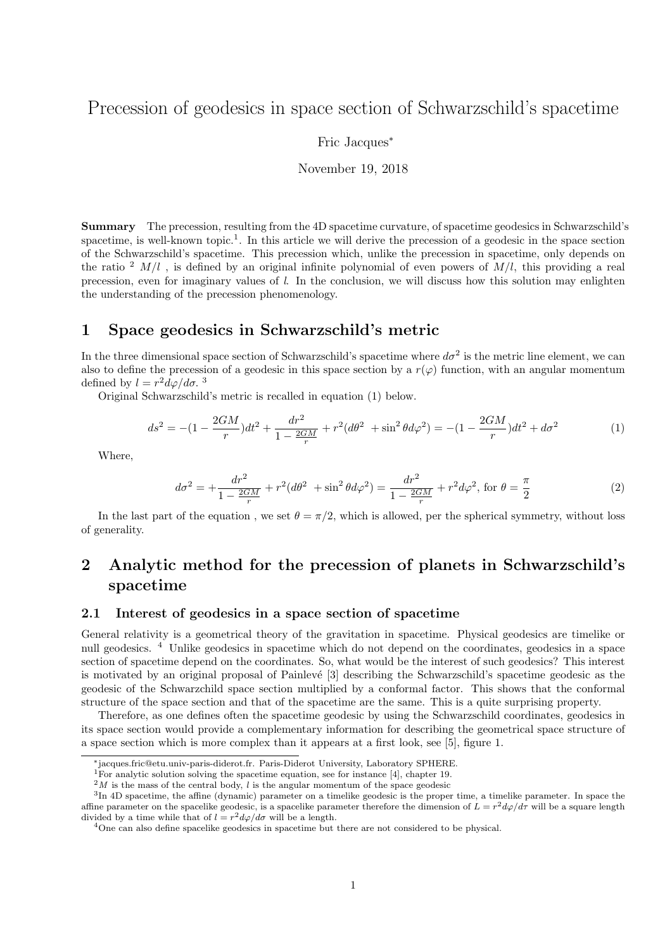# Precession of geodesics in space section of Schwarzschild's spacetime

Fric Jacques<sup>∗</sup>

November 19, 2018

Summary The precession, resulting from the 4D spacetime curvature, of spacetime geodesics in Schwarzschild's spacetime, is well-known topic.<sup>1</sup>. In this article we will derive the precession of a geodesic in the space section of the Schwarzschild's spacetime. This precession which, unlike the precession in spacetime, only depends on the ratio  $2 M/l$ , is defined by an original infinite polynomial of even powers of  $M/l$ , this providing a real precession, even for imaginary values of l. In the conclusion, we will discuss how this solution may enlighten the understanding of the precession phenomenology.

### 1 Space geodesics in Schwarzschild's metric

In the three dimensional space section of Schwarzschild's spacetime where  $d\sigma^2$  is the metric line element, we can also to define the precession of a geodesic in this space section by a  $r(\varphi)$  function, with an angular momentum defined by  $l = r^2 d\varphi / d\sigma$ .<sup>3</sup>

Original Schwarzschild's metric is recalled in equation (1) below.

$$
ds^{2} = -(1 - \frac{2GM}{r})dt^{2} + \frac{dr^{2}}{1 - \frac{2GM}{r}} + r^{2}(d\theta^{2} + \sin^{2}\theta d\varphi^{2}) = -(1 - \frac{2GM}{r})dt^{2} + d\sigma^{2}
$$
(1)

Where,

$$
d\sigma^2 = +\frac{dr^2}{1 - \frac{2GM}{r}} + r^2(d\theta^2 + \sin^2\theta d\varphi^2) = \frac{dr^2}{1 - \frac{2GM}{r}} + r^2d\varphi^2, \text{ for } \theta = \frac{\pi}{2}
$$
 (2)

In the last part of the equation, we set  $\theta = \pi/2$ , which is allowed, per the spherical symmetry, without loss of generality.

# 2 Analytic method for the precession of planets in Schwarzschild's spacetime

#### 2.1 Interest of geodesics in a space section of spacetime

General relativity is a geometrical theory of the gravitation in spacetime. Physical geodesics are timelike or null geodesics. <sup>4</sup> Unlike geodesics in spacetime which do not depend on the coordinates, geodesics in a space section of spacetime depend on the coordinates. So, what would be the interest of such geodesics? This interest is motivated by an original proposal of Painlevé [3] describing the Schwarzschild's spacetime geodesic as the geodesic of the Schwarzchild space section multiplied by a conformal factor. This shows that the conformal structure of the space section and that of the spacetime are the same. This is a quite surprising property.

Therefore, as one defines often the spacetime geodesic by using the Schwarzschild coordinates, geodesics in its space section would provide a complementary information for describing the geometrical space structure of a space section which is more complex than it appears at a first look, see [5], figure 1.

<sup>∗</sup>jacques.fric@etu.univ-paris-diderot.fr. Paris-Diderot University, Laboratory SPHERE.

<sup>1</sup>For analytic solution solving the spacetime equation, see for instance [4], chapter 19.

 $2M$  is the mass of the central body, l is the angular momentum of the space geodesic

<sup>&</sup>lt;sup>3</sup>In 4D spacetime, the affine (dynamic) parameter on a timelike geodesic is the proper time, a timelike parameter. In space the affine parameter on the spacelike geodesic, is a spacelike parameter therefore the dimension of  $L = r^2 d\varphi/d\tau$  will be a square length divided by a time while that of  $l = r^2 d\varphi/d\sigma$  will be a length.

<sup>&</sup>lt;sup>4</sup>One can also define spacelike geodesics in spacetime but there are not considered to be physical.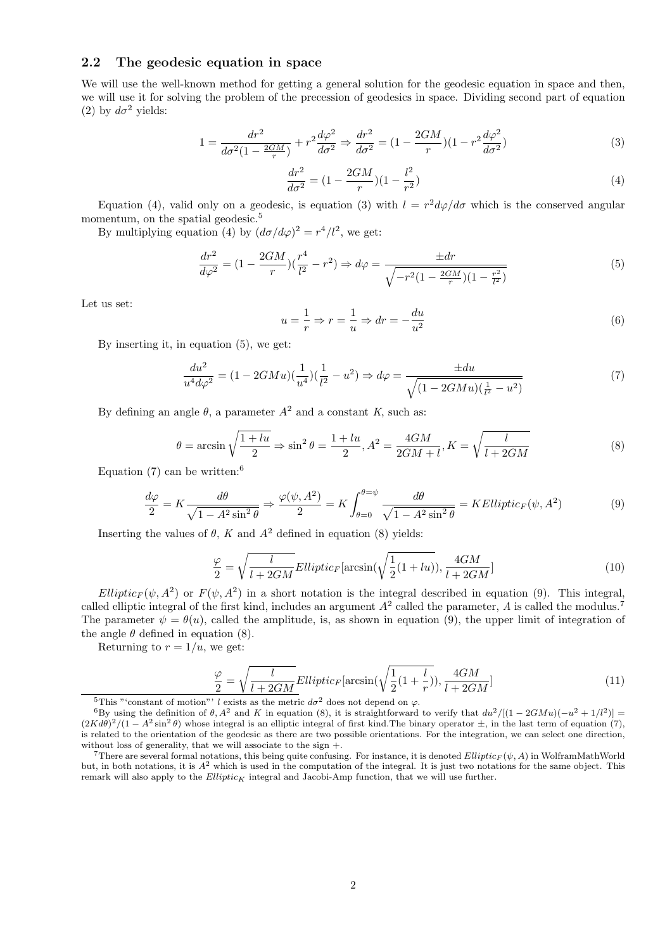#### 2.2 The geodesic equation in space

We will use the well-known method for getting a general solution for the geodesic equation in space and then, we will use it for solving the problem of the precession of geodesics in space. Dividing second part of equation (2) by  $d\sigma^2$  yields:

$$
1 = \frac{dr^2}{d\sigma^2(1 - \frac{2GM}{r})} + r^2 \frac{d\varphi^2}{d\sigma^2} \Rightarrow \frac{dr^2}{d\sigma^2} = (1 - \frac{2GM}{r})(1 - r^2 \frac{d\varphi^2}{d\sigma^2})
$$
\n(3)

$$
\frac{dr^2}{d\sigma^2} = (1 - \frac{2GM}{r})(1 - \frac{l^2}{r^2})
$$
\n(4)

Equation (4), valid only on a geodesic, is equation (3) with  $l = r^2 d\varphi/d\sigma$  which is the conserved angular momentum, on the spatial geodesic.<sup>5</sup>

By multiplying equation (4) by  $(d\sigma/d\varphi)^2 = r^4/l^2$ , we get:

$$
\frac{dr^2}{d\varphi^2} = (1 - \frac{2GM}{r})(\frac{r^4}{l^2} - r^2) \Rightarrow d\varphi = \frac{\pm dr}{\sqrt{-r^2(1 - \frac{2GM}{r})(1 - \frac{r^2}{l^2})}}
$$
(5)

Let us set:

$$
u = \frac{1}{r} \Rightarrow r = \frac{1}{u} \Rightarrow dr = -\frac{du}{u^2}
$$
\n<sup>(6)</sup>

By inserting it, in equation (5), we get:

$$
\frac{du^2}{u^4 d\varphi^2} = (1 - 2GMu)\left(\frac{1}{u^4}\right)\left(\frac{1}{l^2} - u^2\right) \Rightarrow d\varphi = \frac{\pm du}{\sqrt{(1 - 2GMu)\left(\frac{1}{l^2} - u^2\right)}}\tag{7}
$$

By defining an angle  $\theta$ , a parameter  $A^2$  and a constant K, such as:

$$
\theta = \arcsin\sqrt{\frac{1+lu}{2}} \Rightarrow \sin^2\theta = \frac{1+lu}{2}, A^2 = \frac{4GM}{2GM+l}, K = \sqrt{\frac{l}{l+2GM}}
$$
\n(8)

Equation  $(7)$  can be written:<sup>6</sup>

$$
\frac{d\varphi}{2} = K \frac{d\theta}{\sqrt{1 - A^2 \sin^2 \theta}} \Rightarrow \frac{\varphi(\psi, A^2)}{2} = K \int_{\theta=0}^{\theta=\psi} \frac{d\theta}{\sqrt{1 - A^2 \sin^2 \theta}} = K Elliptic_F(\psi, A^2)
$$
(9)

Inserting the values of  $\theta$ , K and  $A^2$  defined in equation (8) yields:

$$
\frac{\varphi}{2} = \sqrt{\frac{l}{l + 2GM}} Elliptic_F[\arcsin(\sqrt{\frac{1}{2}(1 + lu)}), \frac{4GM}{l + 2GM}]
$$
\n(10)

Elliptic<sub>F</sub>( $\psi$ , A<sup>2</sup>) or F( $\psi$ , A<sup>2</sup>) in a short notation is the integral described in equation (9). This integral, called elliptic integral of the first kind, includes an argument  $A^2$  called the parameter, A is called the modulus.<sup>7</sup> The parameter  $\psi = \theta(u)$ , called the amplitude, is, as shown in equation (9), the upper limit of integration of the angle  $\theta$  defined in equation (8).

Returning to  $r = 1/u$ , we get:

$$
\frac{\varphi}{2} = \sqrt{\frac{l}{l + 2GM}} Elliptic_F[\arcsin(\sqrt{\frac{1}{2}(1 + \frac{l}{r})}), \frac{4GM}{l + 2GM}]
$$
\n(11)

<sup>&</sup>lt;sup>5</sup>This "'constant of motion"' l exists as the metric  $d\sigma^2$  does not depend on  $\varphi$ .

<sup>&</sup>lt;sup>6</sup>By using the definition of  $\theta$ ,  $A^2$  and K in equation (8), it is straightforward to verify that  $du^2/[(1-2GMu)(-u^2+1/l^2)]$  $(2Kd\theta)^2/(1-A^2\sin^2\theta)$  whose integral is an elliptic integral of first kind. The binary operator  $\pm$ , in the last term of equation (7), is related to the orientation of the geodesic as there are two possible orientations. For the integration, we can select one direction, without loss of generality, that we will associate to the sign +.

<sup>&</sup>lt;sup>7</sup>There are several formal notations, this being quite confusing. For instance, it is denoted  $Elliptic_F(\psi, A)$  in WolframMathWorld but, in both notations, it is  $A^2$  which is used in the computation of the integral. It is just two notations for the same object. This remark will also apply to the  $Elliptic_K$  integral and Jacobi-Amp function, that we will use further.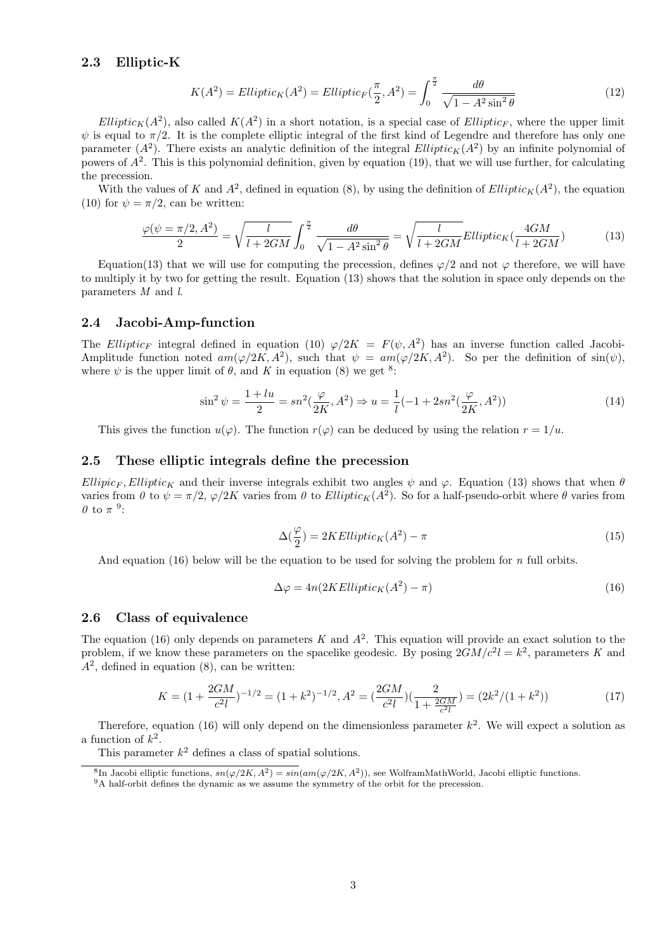#### 2.3 Elliptic-K

$$
K(A^2) = EllipticK(A^2) = EllipticF(\frac{\pi}{2}, A^2) = \int_0^{\frac{\pi}{2}} \frac{d\theta}{\sqrt{1 - A^2 \sin^2 \theta}}
$$
(12)

 $Elliptic<sub>K</sub>(A<sup>2</sup>)$ , also called  $K(A<sup>2</sup>)$  in a short notation, is a special case of  $Elliptic<sub>F</sub>$ , where the upper limit  $\psi$  is equal to  $\pi/2$ . It is the complete elliptic integral of the first kind of Legendre and therefore has only one parameter  $(A^2)$ . There exists an analytic definition of the integral Elliptic<sub>K</sub> $(A^2)$  by an infinite polynomial of powers of  $A^2$ . This is this polynomial definition, given by equation (19), that we will use further, for calculating the precession.

With the values of K and  $A^2$ , defined in equation (8), by using the definition of  $Elliptic_K(A^2)$ , the equation (10) for  $\psi = \pi/2$ , can be written:

$$
\frac{\varphi(\psi = \pi/2, A^2)}{2} = \sqrt{\frac{l}{l + 2GM}} \int_0^{\frac{\pi}{2}} \frac{d\theta}{\sqrt{1 - A^2 \sin^2 \theta}} = \sqrt{\frac{l}{l + 2GM}} Elliptic_K(\frac{4GM}{l + 2GM})
$$
(13)

Equation(13) that we will use for computing the precession, defines  $\varphi/2$  and not  $\varphi$  therefore, we will have to multiply it by two for getting the result. Equation (13) shows that the solution in space only depends on the parameters M and l.

#### 2.4 Jacobi-Amp-function

The Elliptic<sub>F</sub> integral defined in equation (10)  $\varphi/2K = F(\psi, A^2)$  has an inverse function called Jacobi-Amplitude function noted  $am(\varphi/2K, A^2)$ , such that  $\psi = am(\varphi/2K, A^2)$ . So per the definition of  $sin(\psi)$ , where  $\psi$  is the upper limit of  $\theta$ , and K in equation (8) we get <sup>8</sup>:

$$
\sin^2 \psi = \frac{1+lu}{2} = sn^2(\frac{\varphi}{2K}, A^2) \Rightarrow u = \frac{1}{l}(-1+2sn^2(\frac{\varphi}{2K}, A^2))
$$
\n(14)

This gives the function  $u(\varphi)$ . The function  $r(\varphi)$  can be deduced by using the relation  $r = 1/u$ .

#### 2.5 These elliptic integrals define the precession

Ellipic<sub>F</sub>, Elliptic<sub>K</sub> and their inverse integrals exhibit two angles  $\psi$  and  $\varphi$ . Equation (13) shows that when  $\theta$ varies from  $\theta$  to  $\psi = \pi/2$ ,  $\varphi/2K$  varies from  $\theta$  to Elliptic<sub>K</sub>(A<sup>2</sup>). So for a half-pseudo-orbit where  $\theta$  varies from  $\theta$  to  $\pi$ <sup>9</sup>:

$$
\Delta(\frac{\varphi}{2}) = 2KElliptic_K(A^2) - \pi \tag{15}
$$

And equation (16) below will be the equation to be used for solving the problem for  $n$  full orbits.

$$
\Delta \varphi = 4n(2KElliptic_K(A^2) - \pi)
$$
\n(16)

#### 2.6 Class of equivalence

The equation (16) only depends on parameters K and  $A^2$ . This equation will provide an exact solution to the problem, if we know these parameters on the spacelike geodesic. By posing  $2GM/c^2l = k^2$ , parameters K and  $A<sup>2</sup>$ , defined in equation (8), can be written:

$$
K = (1 + \frac{2GM}{c^2l})^{-1/2} = (1 + k^2)^{-1/2}, A^2 = (\frac{2GM}{c^2l})(\frac{2}{1 + \frac{2GM}{c^2l}}) = (2k^2/(1 + k^2))
$$
(17)

Therefore, equation (16) will only depend on the dimensionless parameter  $k^2$ . We will expect a solution as a function of  $k^2$ .

This parameter  $k^2$  defines a class of spatial solutions.

<sup>&</sup>lt;sup>8</sup>In Jacobi elliptic functions,  $sn(\varphi/2K, A^2) = sin(am(\varphi/2K, A^2))$ , see WolframMathWorld, Jacobi elliptic functions.

<sup>&</sup>lt;sup>9</sup>A half-orbit defines the dynamic as we assume the symmetry of the orbit for the precession.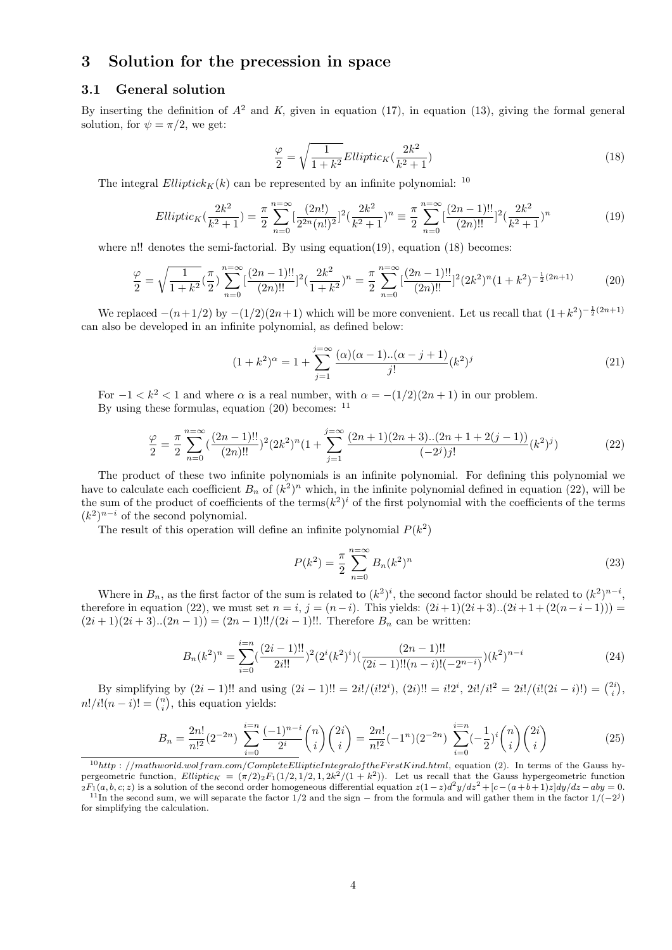## 3 Solution for the precession in space

### 3.1 General solution

By inserting the definition of  $A^2$  and K, given in equation (17), in equation (13), giving the formal general solution, for  $\psi = \pi/2$ , we get:

$$
\frac{\varphi}{2} = \sqrt{\frac{1}{1+k^2}} Elliptic_K(\frac{2k^2}{k^2+1})
$$
\n(18)

The integral  $Elliptick_K(k)$  can be represented by an infinite polynomial: <sup>10</sup>

$$
Elliptic_K(\frac{2k^2}{k^2+1}) = \frac{\pi}{2} \sum_{n=0}^{n=\infty} \left[\frac{(2n!)}{2^{2n}(n!)^2}\right]^2 (\frac{2k^2}{k^2+1})^n \equiv \frac{\pi}{2} \sum_{n=0}^{n=\infty} \left[\frac{(2n-1)!!}{(2n)!!}\right]^2 (\frac{2k^2}{k^2+1})^n
$$
(19)

where n!! denotes the semi-factorial. By using equation(19), equation (18) becomes:

$$
\frac{\varphi}{2} = \sqrt{\frac{1}{1+k^2}} \left(\frac{\pi}{2}\right)^n \sum_{n=0}^{n=\infty} \left[\frac{(2n-1)!!}{(2n)!!}\right]^2 \left(\frac{2k^2}{1+k^2}\right)^n = \frac{\pi}{2} \sum_{n=0}^{n=\infty} \left[\frac{(2n-1)!!}{(2n)!!}\right]^2 (2k^2)^n (1+k^2)^{-\frac{1}{2}(2n+1)}\tag{20}
$$

We replaced  $-(n+1/2)$  by  $-(1/2)(2n+1)$  which will be more convenient. Let us recall that  $(1+k^2)^{-\frac{1}{2}(2n+1)}$ can also be developed in an infinite polynomial, as defined below:

$$
(1+k^2)^{\alpha} = 1 + \sum_{j=1}^{j=\infty} \frac{(\alpha)(\alpha-1) \dots (\alpha-j+1)}{j!} (k^2)^j
$$
\n(21)

For  $-1 < k^2 < 1$  and where  $\alpha$  is a real number, with  $\alpha = -(1/2)(2n+1)$  in our problem. By using these formulas, equation  $(20)$  becomes:  $^{11}$ 

$$
\frac{\varphi}{2} = \frac{\pi}{2} \sum_{n=0}^{n=\infty} \left(\frac{(2n-1)!!}{(2n)!!}\right)^2 (2k^2)^n \left(1 + \sum_{j=1}^{j=\infty} \frac{(2n+1)(2n+3)..(2n+1+2(j-1))}{(-2^j)j!} (k^2)^j\right) \tag{22}
$$

The product of these two infinite polynomials is an infinite polynomial. For defining this polynomial we have to calculate each coefficient  $B_n$  of  $(k^2)^n$  which, in the infinite polynomial defined in equation (22), will be the sum of the product of coefficients of the terms $(k^2)^i$  of the first polynomial with the coefficients of the terms  $(k<sup>2</sup>)<sup>n-i</sup>$  of the second polynomial.

The result of this operation will define an infinite polynomial  $P(k^2)$ 

$$
P(k^2) = \frac{\pi}{2} \sum_{n=0}^{n=\infty} B_n (k^2)^n
$$
\n(23)

Where in  $B_n$ , as the first factor of the sum is related to  $(k^2)^i$ , the second factor should be related to  $(k^2)^{n-i}$ , therefore in equation (22), we must set  $n = i$ ,  $j = (n-i)$ . This yields:  $(2i+1)(2i+3)...(2i+1+(2(n-i-1))) =$  $(2i+1)(2i+3)...(2n-1)) = (2n-1)!!/(2i-1)!!$ . Therefore  $B_n$  can be written:

$$
B_n(k^2)^n = \sum_{i=0}^{i=n} \left(\frac{(2i-1)!!}{2i!!}\right)^2 \left(2^i(k^2)^i\right) \left(\frac{(2n-1)!!}{(2i-1)!!(n-i)!(-2^{n-i})}\right) (k^2)^{n-i}
$$
(24)

By simplifying by  $(2i - 1)!!$  and using  $(2i - 1)!! = 2i!/(i!2^i)$ ,  $(2i)!! = i!2^i$ ,  $2i!/i!^2 = 2i!/(i!(2i - i)!) = \binom{2i}{i}$ ,  $n!/i!(n-i)! = \binom{n}{i}$ , this equation yields:

$$
B_n = \frac{2n!}{n!^2} (2^{-2n}) \sum_{i=0}^{i=n} \frac{(-1)^{n-i}}{2^i} {n \choose i} {2i \choose i} = \frac{2n!}{n!^2} (-1^n) (2^{-2n}) \sum_{i=0}^{i=n} (-\frac{1}{2})^i {n \choose i} {2i \choose i} \tag{25}
$$

 $10$ http : //mathworld.wolfram.com/CompleteEllipticIntegraloftheFirstKind.html, equation (2). In terms of the Gauss hypergeometric function,  $Elliptic_K = (\pi/2)_2 F_1(1/2, 1/2, 1, 2k^2/(1+k^2))$ . Let us recall that the Gauss hypergeometric function  $2F_1(a, b, c; z)$  is a solution of the second order homogeneous differential equation  $z(1-z)d^2y/dz^2 + [c-(a+b+1)z]dy/dz - aby = 0$ .

<sup>&</sup>lt;sup>11</sup>In the second sum, we will separate the factor 1/2 and the sign – from the formula and will gather them in the factor  $1/(-2<sup>j</sup>)$ for simplifying the calculation.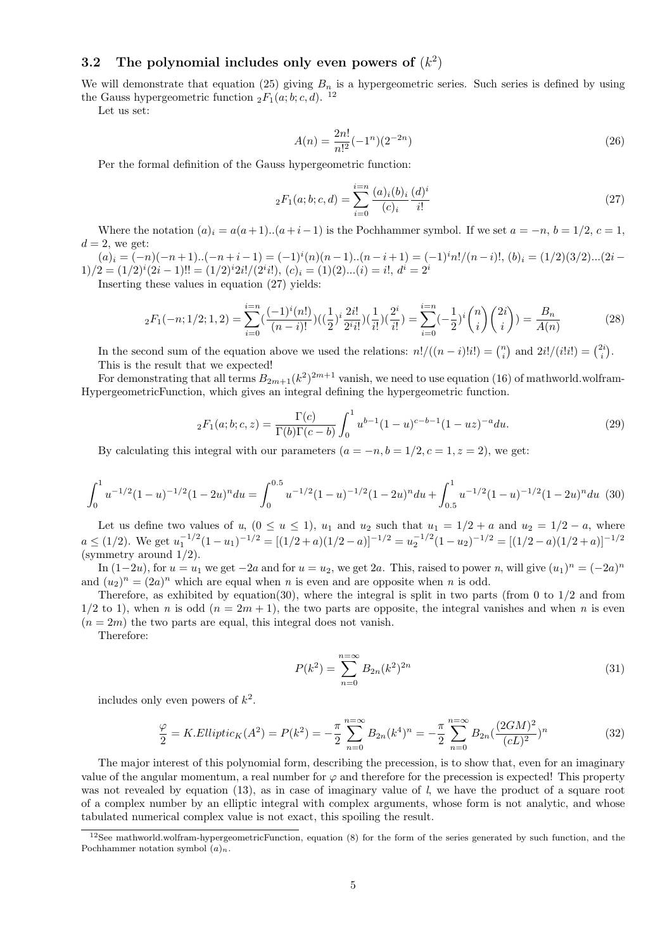### 3.2 The polynomial includes only even powers of  $(k^2)$

We will demonstrate that equation (25) giving  $B_n$  is a hypergeometric series. Such series is defined by using the Gauss hypergeometric function  ${}_2F_1(a;b;c,d)$ . <sup>12</sup>

Let us set:

$$
A(n) = \frac{2n!}{n!^2}(-1^n)(2^{-2n})
$$
\n(26)

Per the formal definition of the Gauss hypergeometric function:

$$
{}_2F_1(a;b;c,d) = \sum_{i=0}^{i=n} \frac{(a)_i (b)_i (d)^i}{(c)_i} \frac{(d)^i}{i!}
$$
 (27)

Where the notation  $(a)_i = a(a+1)...(a+i-1)$  is the Pochhammer symbol. If we set  $a = -n$ ,  $b = 1/2$ ,  $c = 1$ ,  $d=2$ , we get:

 $(a)_i = (-n)(-n+1)...(-n+i-1) = (-1)^i(n)(n-1)...(n-i+1) = (-1)^i n!/(n-i)!, (b)_i = (1/2)(3/2)...(2i-1)$  $1)/2 = (1/2)^{i}(2i - 1)!! = (1/2)^{i}2i!/(2^{i}i!), (c)_{i} = (1)(2)...(i) = i!, d^{i} = 2^{i}$ 

Inserting these values in equation (27) yields:

$$
{}_2F_1(-n;1/2;1,2) = \sum_{i=0}^{i=n} \left(\frac{(-1)^i(n!)}{(n-i)!}\right) \left(\left(\frac{1}{2}\right)^i \frac{2i!}{2^i i!}\right) \left(\frac{1}{i!}\right) \left(\frac{2^i}{i!}\right) = \sum_{i=0}^{i=n} \left(-\frac{1}{2}\right)^i \binom{n}{i} \binom{2i}{i} = \frac{B_n}{A(n)}\tag{28}
$$

In the second sum of the equation above we used the relations:  $n!/((n-i)!i!) = \binom{n}{i}$  and  $2i!/(i!i!) = \binom{2i}{i}$ . This is the result that we expected!

For demonstrating that all terms  $B_{2m+1}(k^2)^{2m+1}$  vanish, we need to use equation (16) of mathworld.wolfram-HypergeometricFunction, which gives an integral defining the hypergeometric function.

$$
{}_2F_1(a;b;c,z) = \frac{\Gamma(c)}{\Gamma(b)\Gamma(c-b)} \int_0^1 u^{b-1} (1-u)^{c-b-1} (1-uz)^{-a} du.
$$
 (29)

By calculating this integral with our parameters  $(a = -n, b = 1/2, c = 1, z = 2)$ , we get:

$$
\int_0^1 u^{-1/2} (1-u)^{-1/2} (1-2u)^n du = \int_0^{0.5} u^{-1/2} (1-u)^{-1/2} (1-2u)^n du + \int_{0.5}^1 u^{-1/2} (1-u)^{-1/2} (1-2u)^n du \tag{30}
$$

Let us define two values of u,  $(0 \le u \le 1)$ ,  $u_1$  and  $u_2$  such that  $u_1 = 1/2 + a$  and  $u_2 = 1/2 - a$ , where  $a \le (1/2)$ . We get  $u_1^{-1/2}(1-u_1)^{-1/2} = [(1/2+a)(1/2-a)]^{-1/2} = u_2^{-1/2}(1-u_2)^{-1/2} = [(1/2-a)(1/2+a)]^{-1/2}$ (symmetry around 1/2).

In  $(1-2u)$ , for  $u = u_1$  we get  $-2a$  and for  $u = u_2$ , we get 2a. This, raised to power n, will give  $(u_1)^n = (-2a)^n$ and  $(u_2)^n = (2a)^n$  which are equal when n is even and are opposite when n is odd.

Therefore, as exhibited by equation(30), where the integral is split in two parts (from 0 to  $1/2$  and from  $1/2$  to 1), when n is odd  $(n = 2m + 1)$ , the two parts are opposite, the integral vanishes and when n is even  $(n = 2m)$  the two parts are equal, this integral does not vanish.

Therefore:

$$
P(k^2) = \sum_{n=0}^{n=\infty} B_{2n}(k^2)^{2n}
$$
\n(31)

includes only even powers of  $k^2$ .

$$
\frac{\varphi}{2} = K.Elliptic_K(A^2) = P(k^2) = -\frac{\pi}{2} \sum_{n=0}^{n=\infty} B_{2n}(k^4)^n = -\frac{\pi}{2} \sum_{n=0}^{n=\infty} B_{2n}(\frac{(2GM)^2}{(cL)^2})^n
$$
(32)

The major interest of this polynomial form, describing the precession, is to show that, even for an imaginary value of the angular momentum, a real number for  $\varphi$  and therefore for the precession is expected! This property was not revealed by equation (13), as in case of imaginary value of l, we have the product of a square root of a complex number by an elliptic integral with complex arguments, whose form is not analytic, and whose tabulated numerical complex value is not exact, this spoiling the result.

<sup>12</sup>See mathworld.wolfram-hypergeometricFunction, equation (8) for the form of the series generated by such function, and the Pochhammer notation symbol  $(a)_n$ .